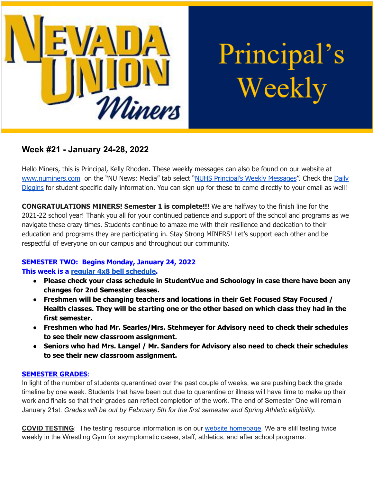

Principal's Weekly

# **Week #21 - January 24-28, 2022**

Hello Miners, this is Principal, Kelly Rhoden. These weekly messages can also be found on our website at [www.numiners.com](http://www.numiners.com) on the "NU News: Media" tab select "NUHS [Principal's](https://nevadaunion.njuhsd.com/NU-NewsMedia/NUHS-Principals-Weekly-Messages/index.html) Weekly Messages". Check the [Daily](https://nevadaunion.njuhsd.com/NU-NewsMedia/Daily-Diggins-Bulletin/index.html) [Diggins](https://nevadaunion.njuhsd.com/NU-NewsMedia/Daily-Diggins-Bulletin/index.html) for student specific daily information. You can sign up for these to come directly to your email as well!

**CONGRATULATIONS MINERS! Semester 1 is complete!!!** We are halfway to the finish line for the 2021-22 school year! Thank you all for your continued patience and support of the school and programs as we navigate these crazy times. Students continue to amaze me with their resilience and dedication to their education and programs they are participating in. Stay Strong MINERS! Let's support each other and be respectful of everyone on our campus and throughout our community.

#### **SEMESTER TWO: Begins Monday, January 24, 2022**

#### **This week is a regular 4x8 bell [schedule.](https://nevadaunion.njuhsd.com/documents/Bell%20Schedules/Bell-Schedule-2021-2022-NUHS-4x8.pdf)**

- **● Please check your class schedule in StudentVue and Schoology in case there have been any changes for 2nd Semester classes.**
- **● Freshmen will be changing teachers and locations in their Get Focused Stay Focused / Health classes. They will be starting one or the other based on which class they had in the first semester.**
- **● Freshmen who had Mr. Searles/Mrs. Stehmeyer for Advisory need to check their schedules to see their new classroom assignment.**
- **● Seniors who had Mrs. Langel / Mr. Sanders for Advisory also need to check their schedules to see their new classroom assignment.**

#### **SEMESTER GRADES**:

In light of the number of students quarantined over the past couple of weeks, we are pushing back the grade timeline by one week. Students that have been out due to quarantine or illness will have time to make up their work and finals so that their grades can reflect completion of the work. The end of Semester One will remain January 21st. *Grades will be out by February 5th for the first semester and Spring Athletic eligibility.*

**COVID TESTING**: The testing resource information is on our website [homepage.](https://nevadaunion.njuhsd.com/index.html) We are still testing twice weekly in the Wrestling Gym for asymptomatic cases, staff, athletics, and after school programs.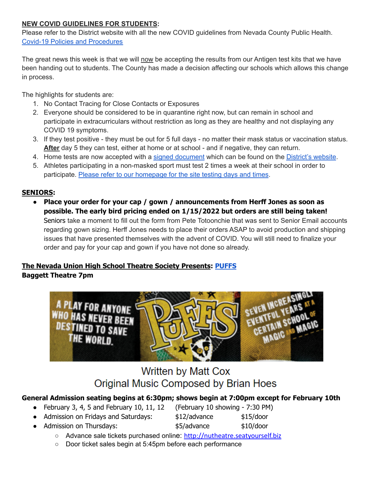#### **NEW COVID GUIDELINES FOR STUDENTS:**

Please refer to the District website with all the new COVID guidelines from Nevada County Public Health. Covid-19 Policies and [Procedures](https://www.njuhsd.com/Covid-19/index.html)

The great news this week is that we will now be accepting the results from our Antigen test kits that we have been handing out to students. The County has made a decision affecting our schools which allows this change in process.

The highlights for students are:

- 1. No Contact Tracing for Close Contacts or Exposures
- 2. Everyone should be considered to be in quarantine right now, but can remain in school and participate in extracurriculars without restriction as long as they are healthy and not displaying any COVID 19 symptoms.
- 3. If they test positive they must be out for 5 full days no matter their mask status or vaccination status. **After** day 5 they can test, either at home or at school - and if negative, they can return.
- 4. Home tests are now accepted with a signed [document](https://www.njuhsd.com/documents/Covid/NJUHSD-Home-Test-Validation-Form.pdf) which can be found on the [District's](https://www.njuhsd.com/Covid-19/index.html) website.
- 5. Athletes participating in a non-masked sport must test 2 times a week at their school in order to participate. Please refer to our [homepage](https://nevadaunion.njuhsd.com/) for the site testing days and times.

# **SENIORS:**

● **Place your order for your cap / gown / announcements from Herff Jones as soon as possible. The early bird pricing ended on 1/15/2022 but orders are still being taken!** Seniors take a moment to fill out the form from Pete Totoonchie that was sent to Senior Email accounts regarding gown sizing. Herff Jones needs to place their orders ASAP to avoid production and shipping issues that have presented themselves with the advent of COVID. You will still need to finalize your order and pay for your cap and gown if you have not done so already.

#### **The Nevada Union High School Theatre Society Presents: [PUFFS](https://docs.google.com/document/d/1uCIHiN0szMwd_lwGU4MnQfnm1Ql4qVr8wO-G1GS7IA8/edit?usp=sharing) Baggett Theatre 7pm**



# **Written by Matt Cox** Original Music Composed by Brian Hoes

# **General Admission seating begins at 6:30pm; shows begin at 7:00pm except for February 10th**

- February 3, 4, 5 and February 10, 11, 12 (February 10 showing  $-7:30$  PM)
- Admission on Fridays and Saturdays: \$12/advance \$15/door
- 

● Admission on Thursdays: <br>● Admission on Thursdays: <br>● \$5/advance \$10/door

- Advance sale tickets purchased online: [http://nutheatre.seatyourself.biz](http://nutheatre.seatyourself.biz/)
- Door ticket sales begin at 5:45pm before each performance